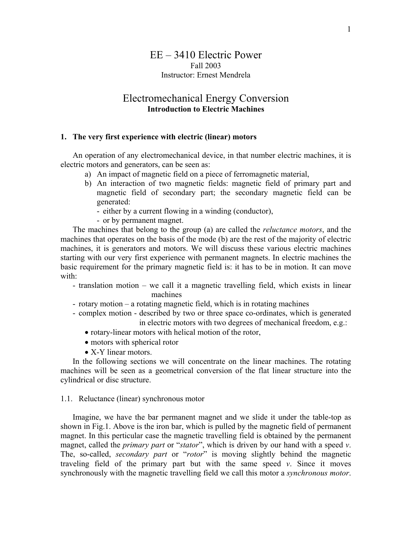# EE – 3410 Electric Power Fall 2003 Instructor: Ernest Mendrela

# Electromechanical Energy Conversion **Introduction to Electric Machines**

## **1. The very first experience with electric (linear) motors**

An operation of any electromechanical device, in that number electric machines, it is electric motors and generators, can be seen as:

- a) An impact of magnetic field on a piece of ferromagnetic material,
- b) An interaction of two magnetic fields: magnetic field of primary part and magnetic field of secondary part; the secondary magnetic field can be generated:
	- either by a current flowing in a winding (conductor),
	- or by permanent magnet.

The machines that belong to the group (a) are called the *reluctance motors*, and the machines that operates on the basis of the mode (b) are the rest of the majority of electric machines, it is generators and motors. We will discuss these various electric machines starting with our very first experience with permanent magnets. In electric machines the basic requirement for the primary magnetic field is: it has to be in motion. It can move with:

- translation motion we call it a magnetic travelling field, which exists in linear machines
- rotary motion a rotating magnetic field, which is in rotating machines
- complex motion described by two or three space co-ordinates, which is generated in electric motors with two degrees of mechanical freedom, e.g.:
	- rotary-linear motors with helical motion of the rotor,
	- motors with spherical rotor
	- X-Y linear motors.

In the following sections we will concentrate on the linear machines. The rotating machines will be seen as a geometrical conversion of the flat linear structure into the cylindrical or disc structure.

### 1.1. Reluctance (linear) synchronous motor

Imagine, we have the bar permanent magnet and we slide it under the table-top as shown in Fig.1. Above is the iron bar, which is pulled by the magnetic field of permanent magnet. In this perticular case the magnetic travelling field is obtained by the permanent magnet, called the *primary part* or "*stator*", which is driven by our hand with a speed *v*. The, so-called, *secondary part* or "*rotor*" is moving slightly behind the magnetic traveling field of the primary part but with the same speed *v*. Since it moves synchronously with the magnetic travelling field we call this motor a *synchronous motor*.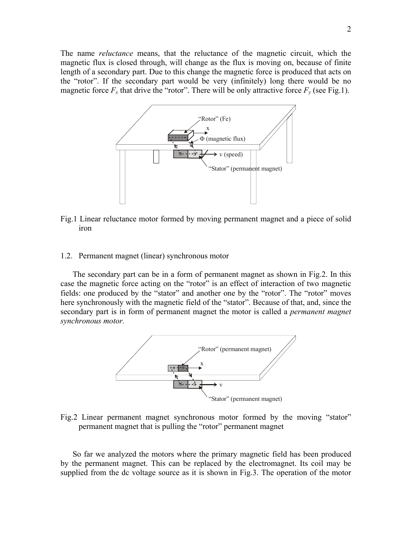The name *reluctance* means, that the reluctance of the magnetic circuit, which the magnetic flux is closed through, will change as the flux is moving on, because of finite length of a secondary part. Due to this change the magnetic force is produced that acts on the "rotor". If the secondary part would be very (infinitely) long there would be no magnetic force  $F_x$  that drive the "rotor". There will be only attractive force  $F_y$  (see Fig.1).



Fig.1 Linear reluctance motor formed by moving permanent magnet and a piece of solid iron

1.2. Permanent magnet (linear) synchronous motor

The secondary part can be in a form of permanent magnet as shown in Fig.2. In this case the magnetic force acting on the "rotor" is an effect of interaction of two magnetic fields: one produced by the "stator" and another one by the "rotor". The "rotor" moves here synchronously with the magnetic field of the "stator". Because of that, and, since the secondary part is in form of permanent magnet the motor is called a *permanent magnet synchronous motor.* 



Fig.2 Linear permanent magnet synchronous motor formed by the moving "stator" permanent magnet that is pulling the "rotor" permanent magnet

So far we analyzed the motors where the primary magnetic field has been produced by the permanent magnet. This can be replaced by the electromagnet. Its coil may be supplied from the dc voltage source as it is shown in Fig.3. The operation of the motor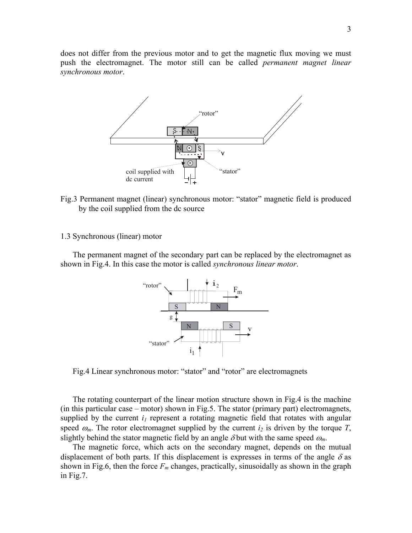does not differ from the previous motor and to get the magnetic flux moving we must push the electromagnet. The motor still can be called *permanent magnet linear synchronous motor*.



- Fig.3 Permanent magnet (linear) synchronous motor: "stator" magnetic field is produced by the coil supplied from the dc source
- 1.3 Synchronous (linear) motor

The permanent magnet of the secondary part can be replaced by the electromagnet as shown in Fig.4. In this case the motor is called *synchronous linear motor*.



Fig.4 Linear synchronous motor: "stator" and "rotor" are electromagnets

The rotating counterpart of the linear motion structure shown in Fig.4 is the machine (in this particular case – motor) shown in Fig.5. The stator (primary part) electromagnets, supplied by the current  $i_l$  represent a rotating magnetic field that rotates with angular speed  $\omega_m$ . The rotor electromagnet supplied by the current  $i_2$  is driven by the torque *T*, slightly behind the stator magnetic field by an angle  $\delta$  but with the same speed  $\omega_m$ .

The magnetic force, which acts on the secondary magnet, depends on the mutual displacement of both parts. If this displacement is expresses in terms of the angle  $\delta$  as shown in Fig.6, then the force  $F_m$  changes, practically, sinusoidally as shown in the graph in Fig.7.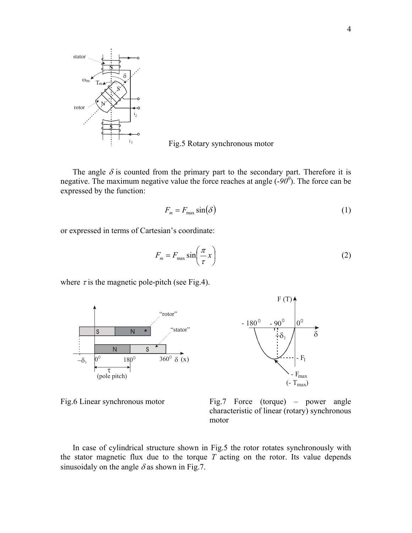

Fig.5 Rotary synchronous motor

The angle  $\delta$  is counted from the primary part to the secondary part. Therefore it is negative. The maximum negative value the force reaches at angle  $(-90^0)$ . The force can be expressed by the function:

$$
F_m = F_{\text{max}} \sin(\delta) \tag{1}
$$

or expressed in terms of Cartesian's coordinate:

$$
F_m = F_{\text{max}} \sin\left(\frac{\pi}{\tau} x\right) \tag{2}
$$

where  $\tau$  is the magnetic pole-pitch (see Fig.4).





 $F(T)$ 

Fig.6 Linear synchronous motor Fig.7 Force (torque) – power angle characteristic of linear (rotary) synchronous motor

In case of cylindrical structure shown in Fig.5 the rotor rotates synchronously with the stator magnetic flux due to the torque *T* acting on the rotor. Its value depends sinusoidaly on the angle  $\delta$  as shown in Fig.7.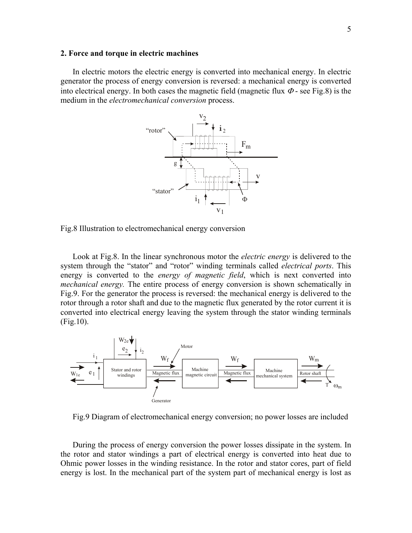#### **2. Force and torque in electric machines**

In electric motors the electric energy is converted into mechanical energy. In electric generator the process of energy conversion is reversed: a mechanical energy is converted into electrical energy. In both cases the magnetic field (magnetic flux  $\Phi$  - see Fig.8) is the medium in the *electromechanical conversion* process.



Fig.8 Illustration to electromechanical energy conversion

Look at Fig.8. In the linear synchronous motor the *electric energy* is delivered to the system through the "stator" and "rotor" winding terminals called *electrical ports*. This energy is converted to the *energy of magnetic field*, which is next converted into *mechanical energy.* The entire process of energy conversion is shown schematically in Fig.9. For the generator the process is reversed: the mechanical energy is delivered to the rotor through a rotor shaft and due to the magnetic flux generated by the rotor current it is converted into electrical energy leaving the system through the stator winding terminals (Fig.10).



Fig.9 Diagram of electromechanical energy conversion; no power losses are included

During the process of energy conversion the power losses dissipate in the system. In the rotor and stator windings a part of electrical energy is converted into heat due to Ohmic power losses in the winding resistance. In the rotor and stator cores, part of field energy is lost. In the mechanical part of the system part of mechanical energy is lost as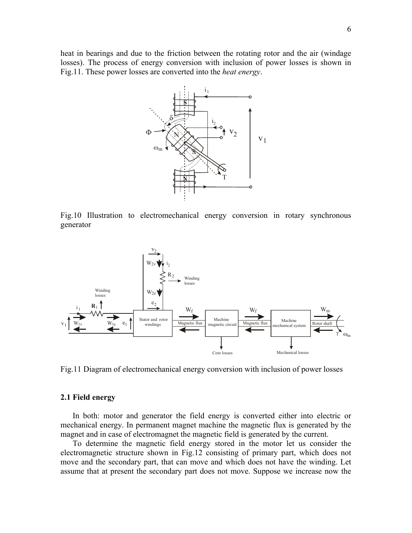heat in bearings and due to the friction between the rotating rotor and the air (windage losses). The process of energy conversion with inclusion of power losses is shown in Fig.11. These power losses are converted into the *heat energy*.



Fig.10 Illustration to electromechanical energy conversion in rotary synchronous generator



Fig.11 Diagram of electromechanical energy conversion with inclusion of power losses

### **2.1 Field energy**

In both: motor and generator the field energy is converted either into electric or mechanical energy. In permanent magnet machine the magnetic flux is generated by the magnet and in case of electromagnet the magnetic field is generated by the current.

To determine the magnetic field energy stored in the motor let us consider the electromagnetic structure shown in Fig.12 consisting of primary part, which does not move and the secondary part, that can move and which does not have the winding. Let assume that at present the secondary part does not move. Suppose we increase now the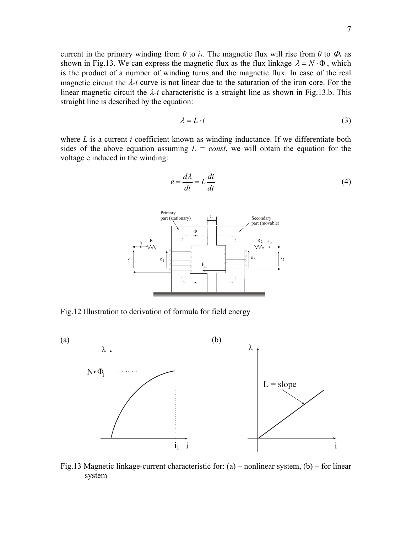current in the primary winding from  $\theta$  to  $i_l$ . The magnetic flux will rise from  $\theta$  to  $\Phi_l$  as shown in Fig.13. We can express the magnetic flux as the flux linkage  $\lambda = N \cdot \Phi$ , which is the product of a number of winding turns and the magnetic flux. In case of the real magnetic circuit the λ*-i* curve is not linear due to the saturation of the iron core. For the linear magnetic circuit the  $\lambda$ -*i* characteristic is a straight line as shown in Fig.13.b. This straight line is described by the equation:

$$
\lambda = L \cdot i \tag{3}
$$

where *L* is a current *i* coefficient known as winding inductance. If we differentiate both sides of the above equation assuming  $L = const$ , we will obtain the equation for the voltage e induced in the winding:

 $di$ 

*d*

$$
e = \frac{d\lambda}{dt} = L\frac{di}{dt}
$$
 (4)



Fig.12 Illustration to derivation of formula for field energy



Fig.13 Magnetic linkage-current characteristic for: (a) – nonlinear system, (b) – for linear system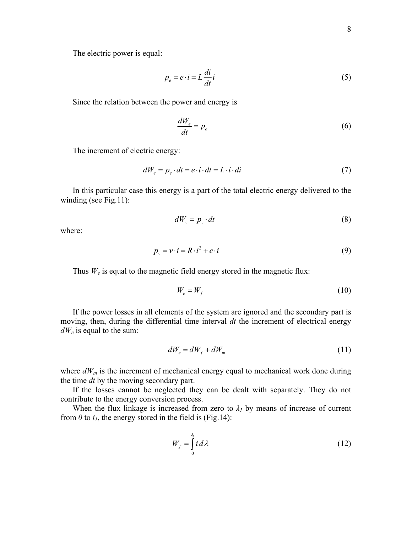The electric power is equal:

$$
p_e = e \cdot i = L \frac{di}{dt} i \tag{5}
$$

Since the relation between the power and energy is

$$
\frac{dW_e}{dt} = p_e \tag{6}
$$

The increment of electric energy:

$$
dW_e = p_e \cdot dt = e \cdot i \cdot dt = L \cdot i \cdot di \tag{7}
$$

In this particular case this energy is a part of the total electric energy delivered to the winding (see Fig.11):

$$
dW_{\nu} = p_{\nu} \cdot dt \tag{8}
$$

where:

$$
p_{v} = v \cdot i = R \cdot i^{2} + e \cdot i \tag{9}
$$

Thus *W<sub>e</sub>* is equal to the magnetic field energy stored in the magnetic flux:

$$
W_e = W_f \tag{10}
$$

If the power losses in all elements of the system are ignored and the secondary part is moving, then, during the differential time interval *dt* the increment of electrical energy *dWe* is equal to the sum:

$$
dW_e = dW_f + dW_m \tag{11}
$$

where  $dW_m$  is the increment of mechanical energy equal to mechanical work done during the time *dt* by the moving secondary part.

If the losses cannot be neglected they can be dealt with separately. They do not contribute to the energy conversion process.

When the flux linkage is increased from zero to  $\lambda_I$  by means of increase of current from  $\theta$  to  $i_l$ , the energy stored in the field is (Fig.14):

$$
W_f = \int_0^{\lambda_1} i \, d\lambda \tag{12}
$$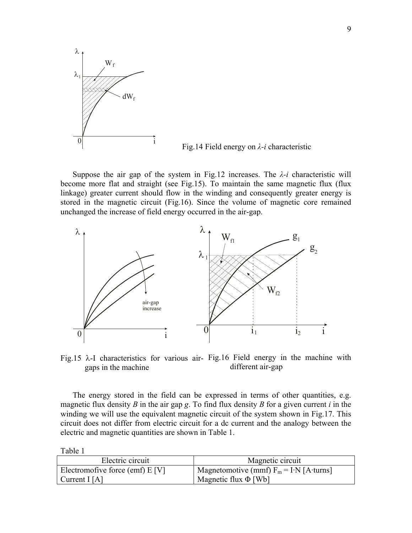

Fig.14 Field energy on *λ-i* characteristic

Suppose the air gap of the system in Fig.12 increases. The  $\lambda$ -*i* characteristic will become more flat and straight (see Fig.15). To maintain the same magnetic flux (flux linkage) greater current should flow in the winding and consequently greater energy is stored in the magnetic circuit (Fig.16). Since the volume of magnetic core remained unchanged the increase of field energy occurred in the air-gap.



Fig.15  $\lambda$ -I characteristics for various air- Fig.16 Field energy in the machine with gaps in the machine different air-gap

The energy stored in the field can be expressed in terms of other quantities, e.g. magnetic flux density *B* in the air gap *g*. To find flux density *B* for a given current *i* in the winding we will use the equivalent magnetic circuit of the system shown in Fig.17. This circuit does not differ from electric circuit for a dc current and the analogy between the electric and magnetic quantities are shown in Table 1.

Table 1

| Electric circuit                 | Magnetic circuit                                      |
|----------------------------------|-------------------------------------------------------|
| Electromofive force (emf) $E[V]$ | $\mu$ Magnetomotive (mmf) $F_m = I \cdot N$ [A·turns] |
| Current I [A]                    | Magnetic flux $\Phi$ [Wb]                             |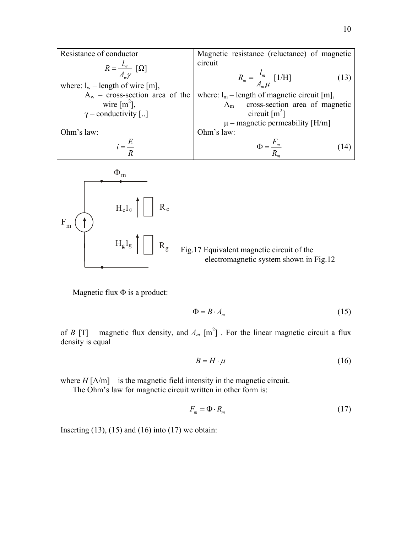Resistance of conductor *w w*  $R = \frac{l_w}{A_w \gamma} [\Omega]$ where:  $l_w$  – length of wire [m],  $A_w$  – cross-section area of the wire  $[m^2]$ ,  $\gamma$  – conductivity [..] Ohm's law:  $i = \frac{E}{R}$ Magnetic resistance (reluctance) of magnetic circuit  $\frac{1}{m} = \frac{\mu_m}{4}$ *m*  $R_m = \frac{l_m}{A_m \mu}$  [1/H] (13) where:  $l_m$  – length of magnetic circuit [m], Am – cross-section area of magnetic circuit  $\lceil m^2 \rceil$  $\mu$  – magnetic permeability [H/m] Ohm's law: *m m F R*  $\Phi = \frac{I_m}{I_m}$  (14)



Magnetic flux  $\Phi$  is a product:

$$
\Phi = B \cdot A_m \tag{15}
$$

of *B* [T] – magnetic flux density, and  $A_m$  [m<sup>2</sup>]. For the linear magnetic circuit a flux density is equal

$$
B = H \cdot \mu \tag{16}
$$

where  $H$   $[A/m]$  – is the magnetic field intensity in the magnetic circuit.

The Ohm's law for magnetic circuit written in other form is:

$$
F_m = \Phi \cdot R_m \tag{17}
$$

Inserting  $(13)$ ,  $(15)$  and  $(16)$  into  $(17)$  we obtain: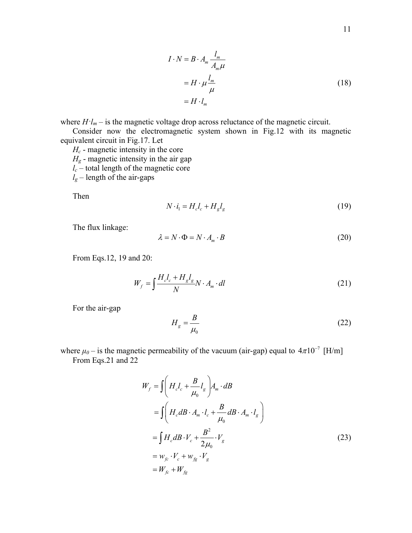$$
I \cdot N = B \cdot A_m \frac{l_m}{A_m \mu}
$$
  
=  $H \cdot \mu \frac{l_m}{\mu}$  (18)  
=  $H \cdot l_m$ 

where  $H \cdot l_m$  – is the magnetic voltage drop across reluctance of the magnetic circuit.

Consider now the electromagnetic system shown in Fig.12 with its magnetic equivalent circuit in Fig.17. Let

*Hc* - magnetic intensity in the core  $H<sub>g</sub>$  - magnetic intensity in the air gap  $l_c$  – total length of the magnetic core  $l_g$  – length of the air-gaps

Then

$$
N \cdot i_1 = H_c l_c + H_g l_g \tag{19}
$$

The flux linkage:

$$
\lambda = N \cdot \Phi = N \cdot A_m \cdot B \tag{20}
$$

From Eqs.12, 19 and 20:

$$
W_f = \int \frac{H_c l_c + H_g l_g}{N} N \cdot A_m \cdot dl \tag{21}
$$

For the air-gap

$$
H_g = \frac{B}{\mu_0} \tag{22}
$$

where  $\mu_0$  – is the magnetic permeability of the vacuum (air-gap) equal to  $4\pi 10^{-7}$  [H/m] From Eqs.21 and 22

$$
W_f = \int \left( H_c l_c + \frac{B}{\mu_0} l_g \right) A_m \cdot dB
$$
  
\n
$$
= \int \left( H_c dB \cdot A_m \cdot l_c + \frac{B}{\mu_0} dB \cdot A_m \cdot l_g \right)
$$
  
\n
$$
= \int H_c dB \cdot V_c + \frac{B^2}{2\mu_0} \cdot V_g
$$
  
\n
$$
= W_{fc} \cdot V_c + W_{fg} \cdot V_g
$$
  
\n
$$
= W_{fc} + W_{fg}
$$
 (23)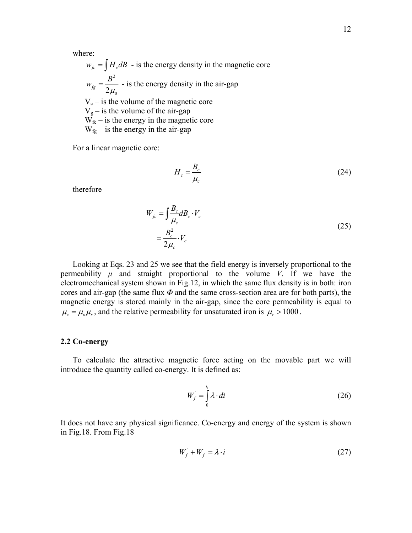where:

$$
w_{fc} = \int H_c dB
$$
 - is the energy density in the magnetic core  

$$
w_{fg} = \frac{B^2}{2\mu_0}
$$
 - is the energy density in the air-gap  

$$
V_c
$$
 - is the volume of the magnetic core  

$$
V_g
$$
 - is the volume of the air-gap  

$$
W_{fc}
$$
 - is the energy in the magnetic core  

$$
W_{fg}
$$
 - is the energy in the air-gap

For a linear magnetic core:

$$
H_c = \frac{B_c}{\mu_c} \tag{24}
$$

therefore

$$
W_{fc} = \int \frac{B_c}{\mu_c} dB_c \cdot V_c
$$
  
= 
$$
\frac{B_c^2}{2\mu_c} \cdot V_c
$$
 (25)

Looking at Eqs. 23 and 25 we see that the field energy is inversely proportional to the permeability  $\mu$  and straight proportional to the volume *V*. If we have the electromechanical system shown in Fig.12, in which the same flux density is in both: iron cores and air-gap (the same flux  $\Phi$  and the same cross-section area are for both parts), the magnetic energy is stored mainly in the air-gap, since the core permeability is equal to  $\mu_c = \mu_a \mu_r$ , and the relative permeability for unsaturated iron is  $\mu_r > 1000$ .

### **2.2 Co-energy**

To calculate the attractive magnetic force acting on the movable part we will introduce the quantity called co-energy. It is defined as:

$$
W_f' = \int_0^{i_1} \lambda \cdot di \tag{26}
$$

It does not have any physical significance. Co-energy and energy of the system is shown in Fig.18. From Fig.18

$$
W_f' + W_f = \lambda \cdot i \tag{27}
$$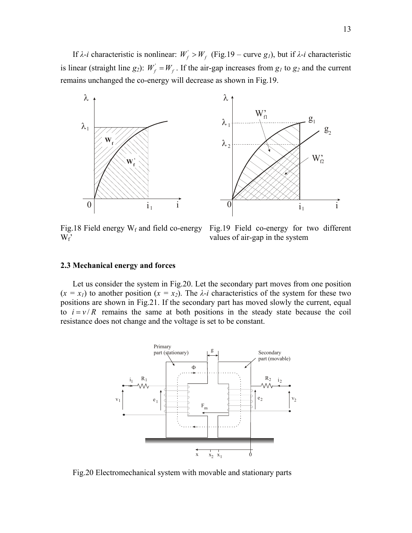If *λ-i* characteristic is nonlinear:  $W'_f > W_f$  (Fig.19 – curve *g<sub>1</sub>*), but if *λ-i* characteristic is linear (straight line *g<sub>2</sub>*):  $W_f' = W_f$ . If the air-gap increases from *g<sub>1</sub>* to *g<sub>2</sub>* and the current remains unchanged the co-energy will decrease as shown in Fig.19.



Fig.18 Field energy  $W_f$  and field co-energy  $W_f'$ 

Fig.19 Field co-energy for two different values of air-gap in the system

### **2.3 Mechanical energy and forces**

Let us consider the system in Fig.20. Let the secondary part moves from one position  $(x = x_1)$  to another position  $(x = x_2)$ . The  $\lambda$ -*i* characteristics of the system for these two positions are shown in Fig.21. If the secondary part has moved slowly the current, equal to  $i = v/R$  remains the same at both positions in the steady state because the coil resistance does not change and the voltage is set to be constant.



Fig.20 Electromechanical system with movable and stationary parts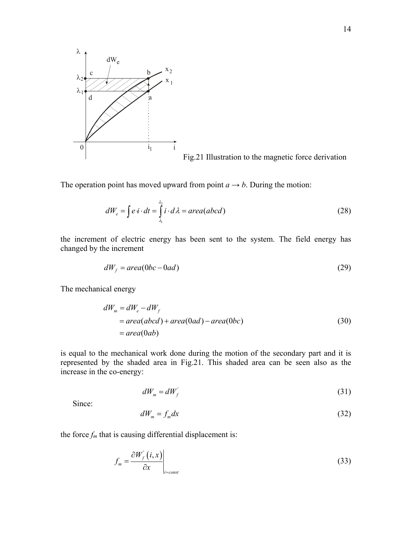

Fig.21 Illustration to the magnetic force derivation

The operation point has moved upward from point  $a \rightarrow b$ . During the motion:

$$
dW_e = \int e \, i \cdot dt = \int_{\lambda_1}^{\lambda_2} i \cdot d\lambda = area(abcd)
$$
 (28)

the increment of electric energy has been sent to the system. The field energy has changed by the increment

$$
dW_f = area(0bc - 0ad) \tag{29}
$$

The mechanical energy

$$
dWm = dWe - dWf
$$
  
= area(abcd) + area(0ad) - area(0bc)  
= area(0ab) (30)

is equal to the mechanical work done during the motion of the secondary part and it is represented by the shaded area in Fig.21. This shaded area can be seen also as the increase in the co-energy:

$$
dW_m = dW_f' \tag{31}
$$

Since:

$$
dW_m = f_m dx \tag{32}
$$

the force  $f_m$  that is causing differential displacement is:

$$
f_m = \frac{\partial W'_f(i, x)}{\partial x}\Big|_{i=\text{const}}\tag{33}
$$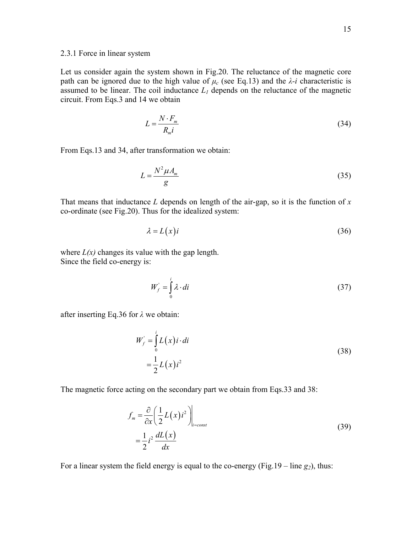### 2.3.1 Force in linear system

Let us consider again the system shown in Fig.20. The reluctance of the magnetic core path can be ignored due to the high value of  $\mu_c$  (see Eq.13) and the  $\lambda$ -*i* characteristic is assumed to be linear. The coil inductance  $L_1$  depends on the reluctance of the magnetic circuit. From Eqs.3 and 14 we obtain

$$
L = \frac{N \cdot F_m}{R_m i} \tag{34}
$$

From Eqs.13 and 34, after transformation we obtain:

$$
L = \frac{N^2 \mu A_m}{g} \tag{35}
$$

That means that inductance *L* depends on length of the air-gap, so it is the function of *x* co-ordinate (see Fig.20). Thus for the idealized system:

$$
\lambda = L(x)i \tag{36}
$$

where  $L(x)$  changes its value with the gap length. Since the field co-energy is:

$$
W_f = \int_0^i \lambda \cdot di \tag{37}
$$

after inserting Eq.36 for *λ* we obtain:

$$
W'_f = \int_0^t L(x) i \cdot di
$$
  
= 
$$
\frac{1}{2} L(x) i^2
$$
 (38)

The magnetic force acting on the secondary part we obtain from Eqs.33 and 38:

$$
f_m = \frac{\partial}{\partial x} \left( \frac{1}{2} L(x) i^2 \right) \Big|_{i=\text{const}}
$$
  
= 
$$
\frac{1}{2} i^2 \frac{dL(x)}{dx}
$$
 (39)

For a linear system the field energy is equal to the co-energy (Fig.19 – line  $g_2$ ), thus: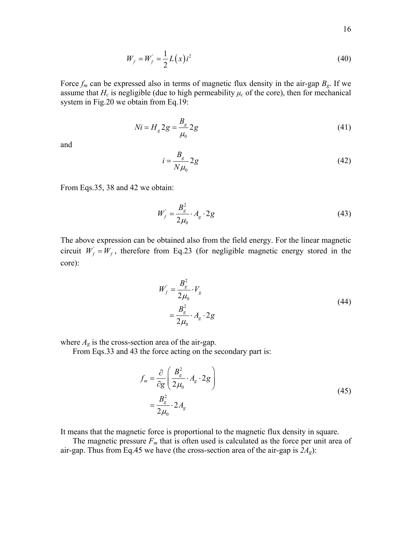$$
W_f = W_f' = \frac{1}{2} L(x) i^2
$$
 (40)

Force  $f_m$  can be expressed also in terms of magnetic flux density in the air-gap  $B_g$ . If we assume that  $H_c$  is negligible (due to high permeability  $\mu_c$  of the core), then for mechanical system in Fig.20 we obtain from Eq.19:

$$
Ni = H_g 2g = \frac{B_g}{\mu_0} 2g
$$
\n(41)

and

$$
i = \frac{B_g}{N\mu_0} 2g \tag{42}
$$

From Eqs.35, 38 and 42 we obtain:

$$
W'_{f} = \frac{B_g^2}{2\mu_0} \cdot A_g \cdot 2g \tag{43}
$$

The above expression can be obtained also from the field energy. For the linear magnetic circuit  $W_f = W_f$ , therefore from Eq.23 (for negligible magnetic energy stored in the core):

$$
W'_f = \frac{B_g^2}{2\mu_0} \cdot V_g
$$
  
=  $\frac{B_g^2}{2\mu_0} \cdot A_g \cdot 2g$  (44)

where  $A_g$  is the cross-section area of the air-gap.

From Eqs.33 and 43 the force acting on the secondary part is:

$$
f_m = \frac{\partial}{\partial g} \left( \frac{B_g^2}{2\mu_0} \cdot A_g \cdot 2g \right)
$$
  
=  $\frac{B_g^2}{2\mu_0} \cdot 2A_g$  (45)

It means that the magnetic force is proportional to the magnetic flux density in square.

The magnetic pressure  $F_m$  that is often used is calculated as the force per unit area of air-gap. Thus from Eq.45 we have (the cross-section area of the air-gap is  $2A_g$ ):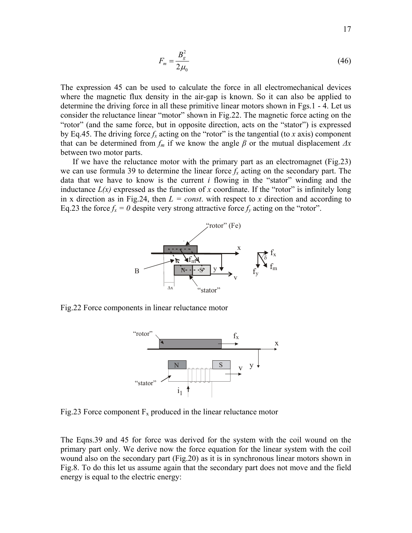$$
F_m = \frac{B_g^2}{2\mu_0} \tag{46}
$$

The expression 45 can be used to calculate the force in all electromechanical devices where the magnetic flux density in the air-gap is known. So it can also be applied to determine the driving force in all these primitive linear motors shown in Fgs.1 - 4. Let us consider the reluctance linear "motor" shown in Fig.22. The magnetic force acting on the "rotor" (and the same force, but in opposite direction, acts on the "stator") is expressed by Eq.45. The driving force  $f_x$  acting on the "rotor" is the tangential (to *x* axis) component that can be determined from  $f_m$  if we know the angle  $\beta$  or the mutual displacement  $\Delta x$ between two motor parts.

If we have the reluctance motor with the primary part as an electromagnet (Fig.23) we can use formula 39 to determine the linear force  $f<sub>x</sub>$  acting on the secondary part. The data that we have to know is the current *i* flowing in the "stator" winding and the inductance  $L(x)$  expressed as the function of x coordinate. If the "rotor" is infinitely long in x direction as in Fig.24, then  $L = const$ . with respect to x direction and according to Eq.23 the force  $f_x = 0$  despite very strong attractive force  $f_y$  acting on the "rotor".



Fig.22 Force components in linear reluctance motor



Fig.23 Force component  $F_x$  produced in the linear reluctance motor

The Eqns.39 and 45 for force was derived for the system with the coil wound on the primary part only. We derive now the force equation for the linear system with the coil wound also on the secondary part (Fig.20) as it is in synchronous linear motors shown in Fig.8. To do this let us assume again that the secondary part does not move and the field energy is equal to the electric energy: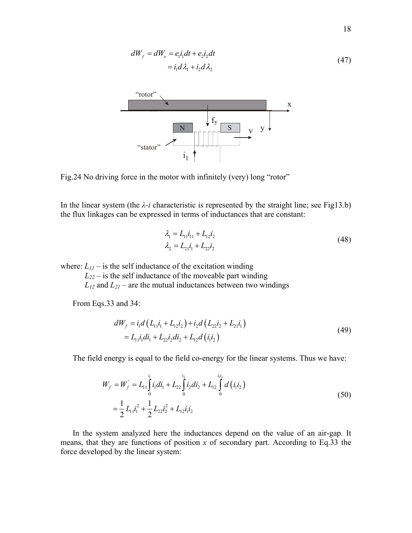$$
dW_f = dW_e = e_1 i_1 dt + e_2 i_2 dt
$$
  
=  $i_1 d\lambda_1 + i_2 d\lambda_2$  (47)



Fig.24 No driving force in the motor with infinitely (very) long "rotor"

In the linear system (the  $\lambda$ -*i* characteristic is represented by the straight line; see Fig13.b) the flux linkages can be expressed in terms of inductances that are constant:

$$
\lambda_1 = L_{11}i_{11} + L_{12}i_2
$$
  
\n
$$
\lambda_2 = L_{21}i_1 + L_{22}i_2
$$
\n(48)

where:  $L_{II}$  – is the self inductance of the excitation winding

 $L_{22}$  – is the self inductance of the moveable part winding

 $L_{12}$  and  $L_{21}$  – are the mutual inductances between two windings

From Eqs.33 and 34:

$$
dW_{f} = i_{1}d(L_{11}i_{1} + L_{12}i_{2}) + i_{2}d(L_{22}i_{2} + L_{21}i_{1})
$$
  
= L\_{11}i\_{1}di\_{1} + L\_{22}i\_{2}di\_{2} + L\_{12}d(i\_{1}i\_{2}) (49)

The field energy is equal to the field co-energy for the linear systems. Thus we have:

$$
W_f = W_f = L_{11} \int_0^{i_1} i_1 di_1 + L_{22} \int_0^{i_2} i_2 di_2 + L_{12} \int_0^{i_1 i_2} d(i_1 i_2)
$$
  
=  $\frac{1}{2} L_{11} i_1^2 + \frac{1}{2} L_{22} i_2^2 + L_{12} i_1 i_2$  (50)

In the system analyzed here the inductances depend on the value of an air-gap. It means, that they are functions of position *x* of secondary part. According to Eq.33 the force developed by the linear system: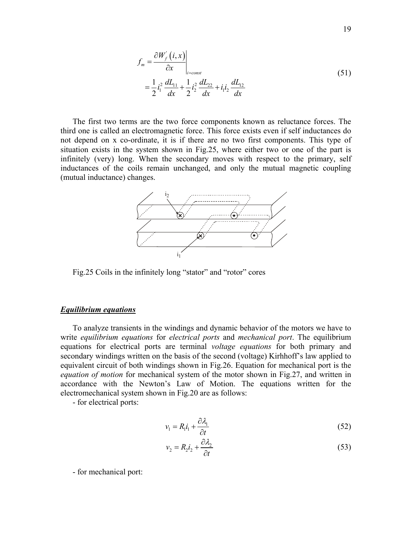$$
f_m = \frac{\partial W'_f(i, x)}{\partial x} \Big|_{i=\text{const}}
$$
  
=  $\frac{1}{2} i_1^2 \frac{dL_{11}}{dx} + \frac{1}{2} i_2^2 \frac{dL_{22}}{dx} + i_1 i_2 \frac{dL_{12}}{dx}$  (51)

The first two terms are the two force components known as reluctance forces. The third one is called an electromagnetic force. This force exists even if self inductances do not depend on x co-ordinate, it is if there are no two first components. This type of situation exists in the system shown in Fig.25, where either two or one of the part is infinitely (very) long. When the secondary moves with respect to the primary, self inductances of the coils remain unchanged, and only the mutual magnetic coupling (mutual inductance) changes.



Fig.25 Coils in the infinitely long "stator" and "rotor" cores

#### *Equilibrium equations*

To analyze transients in the windings and dynamic behavior of the motors we have to write *equilibrium equations* for *electrical ports* and *mechanical port*. The equilibrium equations for electrical ports are terminal *voltage equations* for both primary and secondary windings written on the basis of the second (voltage) Kirhhoff's law applied to equivalent circuit of both windings shown in Fig.26. Equation for mechanical port is the *equation of motion* for mechanical system of the motor shown in Fig.27, and written in accordance with the Newton's Law of Motion. The equations written for the electromechanical system shown in Fig.20 are as follows:

- for electrical ports:

$$
v_1 = R_1 i_1 + \frac{\partial \lambda_1}{\partial t} \tag{52}
$$

$$
v_2 = R_2 i_2 + \frac{\partial \lambda_2}{\partial t} \tag{53}
$$

- for mechanical port: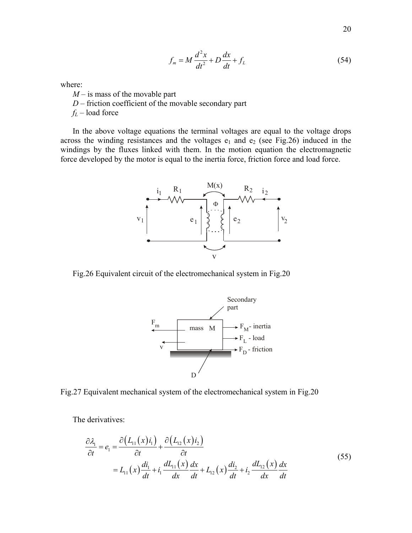$$
f_m = M\frac{d^2x}{dt^2} + D\frac{dx}{dt} + f_L
$$
\n(54)

where:

- *M* is mass of the movable part
- *D* friction coefficient of the movable secondary part
- *fL* load force

In the above voltage equations the terminal voltages are equal to the voltage drops across the winding resistances and the voltages  $e_1$  and  $e_2$  (see Fig.26) induced in the windings by the fluxes linked with them. In the motion equation the electromagnetic force developed by the motor is equal to the inertia force, friction force and load force.



Fig.26 Equivalent circuit of the electromechanical system in Fig.20



Fig.27 Equivalent mechanical system of the electromechanical system in Fig.20

The derivatives:

$$
\frac{\partial \lambda_1}{\partial t} = e_1 = \frac{\partial (L_{11}(x)i_1)}{\partial t} + \frac{\partial (L_{12}(x)i_2)}{\partial t} \n= L_{11}(x) \frac{di_1}{dt} + i_1 \frac{dL_{11}(x)}{dx} \frac{dx}{dt} + L_{12}(x) \frac{di_2}{dt} + i_2 \frac{dL_{12}(x)}{dx} \frac{dx}{dt}
$$
\n(55)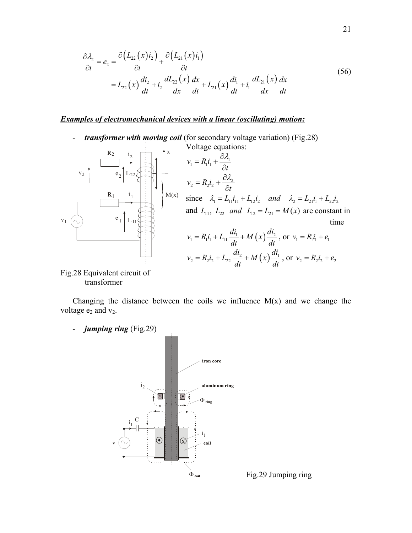$$
\frac{\partial \lambda_2}{\partial t} = e_2 = \frac{\partial \left( L_{22}(x) i_2 \right)}{\partial t} + \frac{\partial \left( L_{21}(x) i_1 \right)}{\partial t}
$$
\n
$$
= L_{22}(x) \frac{di_2}{dt} + i_2 \frac{dL_{22}(x)}{dx} \frac{dx}{dt} + L_{21}(x) \frac{di_1}{dt} + i_1 \frac{dL_{21}(x)}{dx} \frac{dx}{dt}
$$
\n(56)

# *Examples of electromechanical devices with a linear (oscillating) motion:*

- *transformer with moving coil* (for secondary voltage variation) (Fig.28)



### Fig.28 Equivalent circuit of transformer

Changing the distance between the coils we influence  $M(x)$  and we change the voltage  $e_2$  and  $v_2$ .

- *jumping ring* (Fig.29)



Fig.29 Jumping ring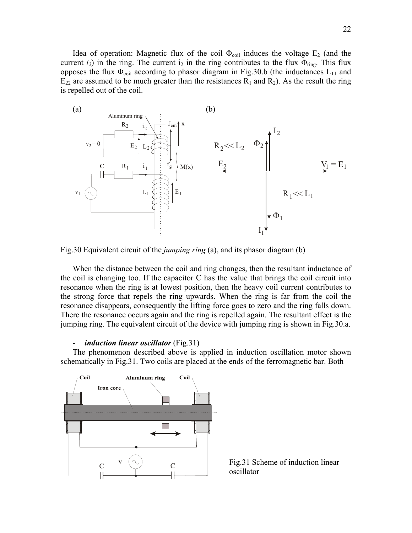<u>Idea of operation:</u> Magnetic flux of the coil  $\Phi_{\text{coil}}$  induces the voltage  $E_2$  (and the current  $i_2$ ) in the ring. The current  $i_2$  in the ring contributes to the flux  $\Phi_{ring}$ . This flux opposes the flux  $\Phi_{\text{coil}}$  according to phasor diagram in Fig.30.b (the inductances  $L_{11}$  and  $E_{22}$  are assumed to be much greater than the resistances  $R_1$  and  $R_2$ ). As the result the ring is repelled out of the coil.



Fig.30 Equivalent circuit of the *jumping ring* (a), and its phasor diagram (b)

When the distance between the coil and ring changes, then the resultant inductance of the coil is changing too. If the capacitor C has the value that brings the coil circuit into resonance when the ring is at lowest position, then the heavy coil current contributes to the strong force that repels the ring upwards. When the ring is far from the coil the resonance disappears, consequently the lifting force goes to zero and the ring falls down. There the resonance occurs again and the ring is repelled again. The resultant effect is the jumping ring. The equivalent circuit of the device with jumping ring is shown in Fig.30.a.

#### - *induction linear oscillator* (Fig.31)

The phenomenon described above is applied in induction oscillation motor shown schematically in Fig.31. Two coils are placed at the ends of the ferromagnetic bar. Both



Fig.31 Scheme of induction linear oscillator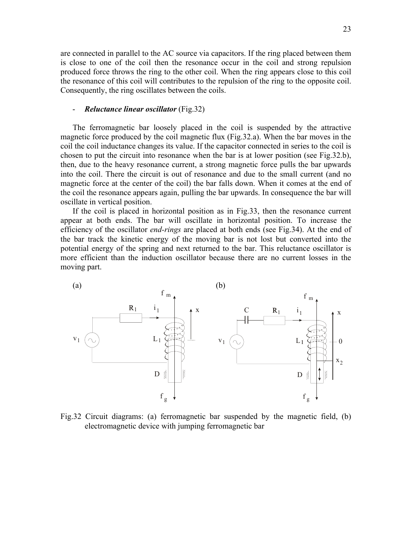are connected in parallel to the AC source via capacitors. If the ring placed between them is close to one of the coil then the resonance occur in the coil and strong repulsion produced force throws the ring to the other coil. When the ring appears close to this coil the resonance of this coil will contributes to the repulsion of the ring to the opposite coil. Consequently, the ring oscillates between the coils.

### - *Reluctance linear oscillator* (Fig.32)

The ferromagnetic bar loosely placed in the coil is suspended by the attractive magnetic force produced by the coil magnetic flux (Fig.32.a). When the bar moves in the coil the coil inductance changes its value. If the capacitor connected in series to the coil is chosen to put the circuit into resonance when the bar is at lower position (see Fig.32.b), then, due to the heavy resonance current, a strong magnetic force pulls the bar upwards into the coil. There the circuit is out of resonance and due to the small current (and no magnetic force at the center of the coil) the bar falls down. When it comes at the end of the coil the resonance appears again, pulling the bar upwards. In consequence the bar will oscillate in vertical position.

If the coil is placed in horizontal position as in Fig.33, then the resonance current appear at both ends. The bar will oscillate in horizontal position. To increase the efficiency of the oscillator *end-rings* are placed at both ends (see Fig.34). At the end of the bar track the kinetic energy of the moving bar is not lost but converted into the potential energy of the spring and next returned to the bar. This reluctance oscillator is more efficient than the induction oscillator because there are no current losses in the moving part.



Fig.32 Circuit diagrams: (a) ferromagnetic bar suspended by the magnetic field, (b) electromagnetic device with jumping ferromagnetic bar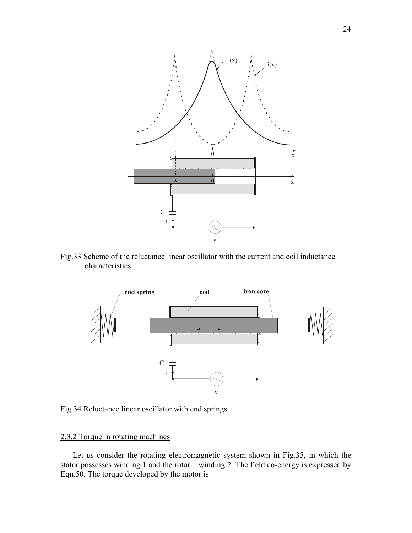

Fig.33 Scheme of the reluctance linear oscillator with the current and coil inductance characteristics



Fig.34 Reluctance linear oscillator with end springs

# 2.3.2 Torque in rotating machines

Let us consider the rotating electromagnetic system shown in Fig.35, in which the stator possesses winding 1 and the rotor – winding 2. The field co-energy is expressed by Eqn.50. The torque developed by the motor is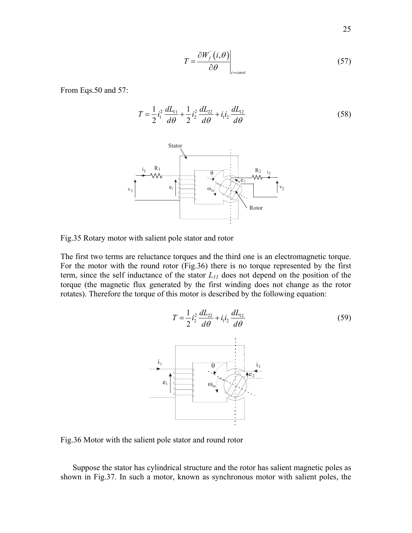$$
T = \frac{\partial W'_f(i, \theta)}{\partial \theta}\Big|_{i=\text{const}} \tag{57}
$$

From Eqs.50 and 57:

$$
T = \frac{1}{2}i_1^2 \frac{dL_{11}}{d\theta} + \frac{1}{2}i_2^2 \frac{dL_{22}}{d\theta} + i_1 i_2 \frac{dL_{12}}{d\theta}
$$
 (58)



Fig.35 Rotary motor with salient pole stator and rotor

The first two terms are reluctance torques and the third one is an electromagnetic torque. For the motor with the round rotor (Fig.36) there is no torque represented by the first term, since the self inductance of the stator  $L_{II}$  does not depend on the position of the torque (the magnetic flux generated by the first winding does not change as the rotor rotates). Therefore the torque of this motor is described by the following equation:



Fig.36 Motor with the salient pole stator and round rotor

Suppose the stator has cylindrical structure and the rotor has salient magnetic poles as shown in Fig.37. In such a motor, known as synchronous motor with salient poles, the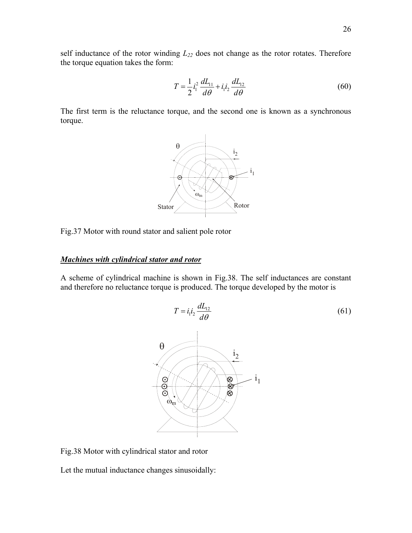self inductance of the rotor winding  $L_{22}$  does not change as the rotor rotates. Therefore the torque equation takes the form:

$$
T = \frac{1}{2}i_1^2 \frac{dL_{11}}{d\theta} + i_1 i_2 \frac{dL_{12}}{d\theta}
$$
 (60)

The first term is the reluctance torque, and the second one is known as a synchronous torque.



Fig.37 Motor with round stator and salient pole rotor

## *Machines with cylindrical stator and rotor*

A scheme of cylindrical machine is shown in Fig.38. The self inductances are constant and therefore no reluctance torque is produced. The torque developed by the motor is



Fig.38 Motor with cylindrical stator and rotor

Let the mutual inductance changes sinusoidally: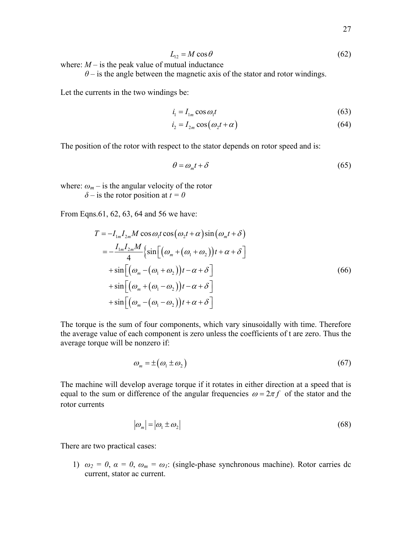$$
L_{12} = M\cos\theta\tag{62}
$$

where:  $M -$  is the peak value of mutual inductance

 $\theta$  – is the angle between the magnetic axis of the stator and rotor windings.

Let the currents in the two windings be:

$$
i_1 = I_{1m} \cos \omega_1 t \tag{63}
$$

$$
i_2 = I_{2m} \cos(\omega_2 t + \alpha) \tag{64}
$$

The position of the rotor with respect to the stator depends on rotor speed and is:

$$
\theta = \omega_m t + \delta \tag{65}
$$

where:  $\omega_m$  – is the angular velocity of the rotor  $\delta$  – is the rotor position at  $t = 0$ 

From Eqns.61, 62, 63, 64 and 56 we have:

$$
T = -I_{1m}I_{2m}M\cos\omega_{1}t\cos(\omega_{2}t+\alpha)\sin(\omega_{m}t+\delta)
$$
  
\n
$$
= -\frac{I_{1m}I_{2m}M}{4}\left\{\sin\left[\left(\omega_{m} + \left(\omega_{1} + \omega_{2}\right)\right)t + \alpha + \delta\right]\right.
$$
  
\n
$$
+ \sin\left[\left(\omega_{m} - \left(\omega_{1} + \omega_{2}\right)\right)t - \alpha + \delta\right]
$$
  
\n
$$
+ \sin\left[\left(\omega_{m} + \left(\omega_{1} - \omega_{2}\right)\right)t - \alpha + \delta\right]
$$
  
\n
$$
+ \sin\left[\left(\omega_{m} - \left(\omega_{1} - \omega_{2}\right)\right)t + \alpha + \delta\right]
$$
  
\n(66)

The torque is the sum of four components, which vary sinusoidally with time. Therefore the average value of each component is zero unless the coefficients of t are zero. Thus the average torque will be nonzero if:

$$
\omega_m = \pm (\omega_1 \pm \omega_2) \tag{67}
$$

The machine will develop average torque if it rotates in either direction at a speed that is equal to the sum or difference of the angular frequencies  $\omega = 2\pi f$  of the stator and the rotor currents

$$
|\omega_m| = |\omega_1 \pm \omega_2| \tag{68}
$$

There are two practical cases:

1)  $\omega_2 = 0$ ,  $\alpha = 0$ ,  $\omega_m = \omega_l$ : (single-phase synchronous machine). Rotor carries dc current, stator ac current.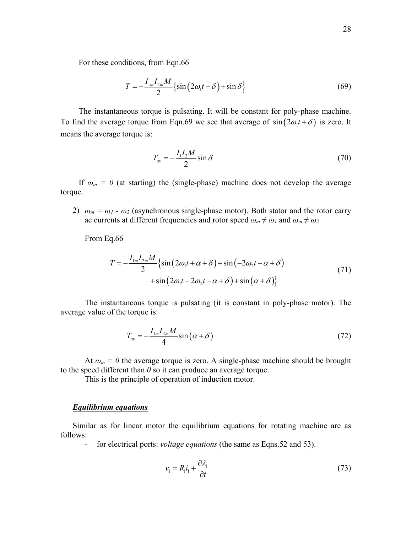For these conditions, from Eqn.66

$$
T = -\frac{I_{1m}I_{2m}M}{2} \left\{ \sin(2\omega_1 t + \delta) + \sin \delta \right\}
$$
 (69)

The instantaneous torque is pulsating. It will be constant for poly-phase machine. To find the average torque from Eqn.69 we see that average of  $sin(2\omega_1 t + \delta)$  is zero. It means the average torque is:

$$
T_{av} = -\frac{I_1 I_2 M}{2} \sin \delta \tag{70}
$$

If  $\omega_m = 0$  (at starting) the (single-phase) machine does not develop the average torque.

2)  $\omega_m = \omega_1 - \omega_2$  (asynchronous single-phase motor). Both stator and the rotor carry ac currents at different frequencies and rotor speed  $\omega_m \neq \omega_1$  and  $\omega_m \neq \omega_2$ 

From Eq.66

$$
T = -\frac{I_{1m}I_{2m}M}{2} \left\{ \sin(2\omega_1 t + \alpha + \delta) + \sin(-2\omega_2 t - \alpha + \delta) + \sin(2\omega_1 t - 2\omega_2 t - \alpha + \delta) + \sin(\alpha + \delta) \right\}
$$
\n(71)

The instantaneous torque is pulsating (it is constant in poly-phase motor). The average value of the torque is:

$$
T_{av} = -\frac{I_{1m}I_{2m}M}{4}\sin\left(\alpha + \delta\right) \tag{72}
$$

At  $\omega_m = 0$  the average torque is zero. A single-phase machine should be brought to the speed different than *0* so it can produce an average torque.

This is the principle of operation of induction motor.

### *Equilibrium equations*

Similar as for linear motor the equilibrium equations for rotating machine are as follows:

for electrical ports: *voltage equations* (the same as Eqns.52 and 53).

$$
v_1 = R_1 i_1 + \frac{\partial \lambda_1}{\partial t} \tag{73}
$$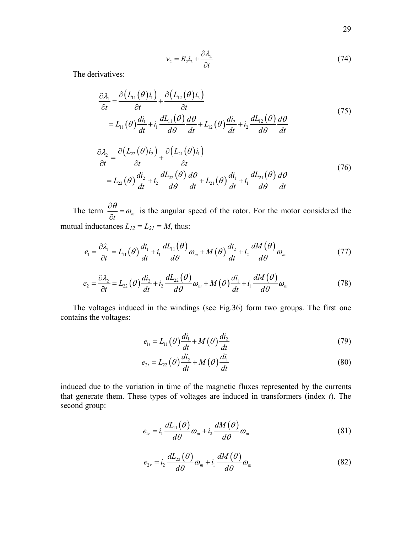$$
v_2 = R_2 i_2 + \frac{\partial \lambda_2}{\partial t} \tag{74}
$$

The derivatives:

$$
\frac{\partial \lambda_1}{\partial t} = \frac{\partial (L_{11}(\theta)i_1)}{\partial t} + \frac{\partial (L_{12}(\theta)i_2)}{\partial t} \n= L_{11}(\theta) \frac{di_1}{dt} + i_1 \frac{dL_{11}(\theta)}{d\theta} \frac{d\theta}{dt} + L_{12}(\theta) \frac{di_2}{dt} + i_2 \frac{dL_{12}(\theta)}{d\theta} \frac{d\theta}{dt}
$$
\n(75)

$$
\frac{\partial \lambda_2}{\partial t} = \frac{\partial (L_{22}(\theta)i_2)}{\partial t} + \frac{\partial (L_{21}(\theta)i_1)}{\partial t} \n= L_{22}(\theta) \frac{di_2}{dt} + i_2 \frac{dL_{22}(\theta)}{d\theta} \frac{d\theta}{dt} + L_{21}(\theta) \frac{di_1}{dt} + i_1 \frac{dL_{21}(\theta)}{d\theta} \frac{d\theta}{dt}
$$
\n(76)

The term  $\frac{\partial \theta}{\partial t} = \omega_m$  $\frac{\partial \theta}{\partial t} = \omega_m$  is the angular speed of the rotor. For the motor considered the mutual inductances  $L_{12} = L_{21} = M$ , thus:

$$
e_1 = \frac{\partial \lambda_1}{\partial t} = L_{11}(\theta) \frac{di_1}{dt} + i_1 \frac{dL_{11}(\theta)}{d\theta} \omega_m + M(\theta) \frac{di_2}{dt} + i_2 \frac{dM(\theta)}{d\theta} \omega_m \tag{77}
$$

$$
e_2 = \frac{\partial \lambda_2}{\partial t} = L_{22}(\theta) \frac{di_2}{dt} + i_2 \frac{dL_{22}(\theta)}{d\theta} \omega_m + M(\theta) \frac{di_1}{dt} + i_1 \frac{dM(\theta)}{d\theta} \omega_m
$$
 (78)

The voltages induced in the windings (see Fig.36) form two groups. The first one contains the voltages:

$$
e_{1t} = L_{11}\left(\theta\right)\frac{di_1}{dt} + M\left(\theta\right)\frac{di_2}{dt} \tag{79}
$$

$$
e_{2t} = L_{22}(\theta) \frac{di_2}{dt} + M(\theta) \frac{di_1}{dt}
$$
\n(80)

induced due to the variation in time of the magnetic fluxes represented by the currents that generate them. These types of voltages are induced in transformers (index *t*). The second group:

$$
e_{1r} = i_1 \frac{dL_{11}(\theta)}{d\theta} \omega_m + i_2 \frac{dM(\theta)}{d\theta} \omega_m
$$
\n(81)

$$
e_{2r} = i_2 \frac{dL_{22}(\theta)}{d\theta} \omega_m + i_1 \frac{dM(\theta)}{d\theta} \omega_m
$$
 (82)